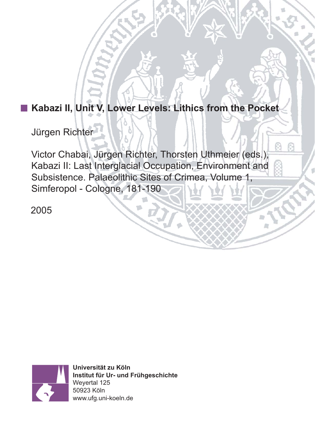# **Kabazi II, Unit V, Lower Levels: Lithics from the Pocket**

Jürgen Richter

Victor Chabai, Jürgen Richter, Thorsten Uthmeier (eds.), Kabazi II: Last Interglacial Occupation, Environment and Subsistence. Palaeolithic Sites of Crimea, Volume 1, Simferopol - Cologne, 181-190

2005



**Universität zu Köln Institut für Ur- und Frühgeschichte** Weyertal 125 50923 Köln www.ufg.uni-koeln.de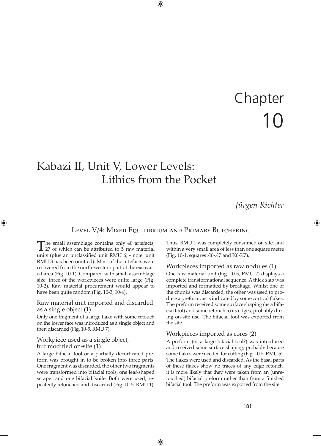# Chapter 10

# Kabazi II, Unit V, Lower Levels: Lithics from the Pocket

# *Jürgen Richter*

# Level V/4: MIXED EQUILIBRIUM AND PRIMARY BUTCHERING

The small assemblage contains only 40 artefacts,<br>27 of which can be attributed to 5 raw material units (plus an unclassified unit RMU 6; - note: unit RMU 3 has been omitted). Most of the artefacts were recovered from the north-western part of the excavated area (Fig. 10-1). Compared with small assemblage size, three of the workpieces were quite large (Fig. 10-2). Raw material procurement would appear to have been quite random (Fig. 10-3; 10-4).

# Raw material unit imported and discarded as a single object (1)

Only one fragment of a large flake with some retouch on the lower face was introduced as a single object and then discarded (Fig. 10-5, RMU 7).

#### Workpiece used as a single object, but modified on-site (1)

A large bifacial tool or a partially decorticated preform was brought in to be broken into three parts. One fragment was discarded, the other two fragments were transformed into bifacial tools, one leaf-shaped scraper and one bifacial knife. Both were used, repeatedly retouched and discarded (Fig. 10-5, RMU 1). Thus, RMU 1 was completely consumed on site, and within a very small area of less than one square metre (Fig. 10-1, squares  $\Lambda$ 6- $\Lambda$ 7 and K6-K7).

#### Workpieces imported as raw nodules (1)

One raw material unit (Fig. 10-5, RMU 2) displays a complete transformational sequence. A thick slab was imported and formatted by breakage. Whilst one of the chunks was discarded, the other was used to produce a preform, as is indicated by some cortical flakes. The preform received some surface shaping (as a bifacial tool) and some retouch to its edges, probably during on-site use. The bifacial tool was exported from the site.

#### Workpieces imported as cores (2)

A preform (or a large bifacial tool?) was introduced and received some surface shaping, probably because some flakes were needed for cutting (Fig. 10-5, RMU 5). The flakes were used and discarded. As the basal parts of these flakes show no traces of any edge retouch, it is more likely that they were taken from an (unretouched) bifacial preform rather than from a finished bifacial tool. The preform was exported from the site.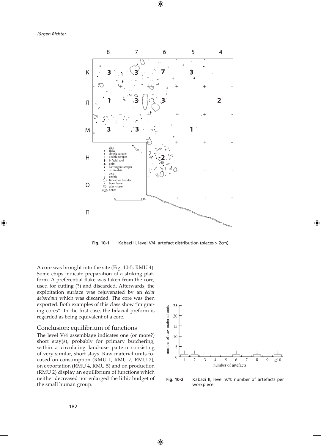

**Fig. 10-1** Kabazi II, level V/4: artefact distribution (pieces > 2cm).

A core was brought into the site (Fig. 10-5, RMU 4). Some chips indicate preparation of a striking platform. A preferential flake was taken from the core, used for cutting (?) and discarded. Afterwards, the exploitation surface was rejuvenated by an *éclat debordant* which was discarded. The core was then exported. Both examples of this class show "migrating cores". In the first case, the bifacial preform is regarded as being equivalent of a core.

#### Conclusion: equilibrium of functions

The level V/4 assemblage indicates one (or more?) short stay(s), probably for primary butchering, within a circulating land-use pattern consisting of very similar, short stays. Raw material units focused on consumption (RMU 1, RMU 7, RMU 2), on exportation (RMU 4, RMU 5) and on production (RMU 2) display an equilibrium of functions which neither decreased nor enlarged the lithic budget of the small human group.



**Fig. 10-2** Kabazi II, level V/4: number of artefacts per workpiece.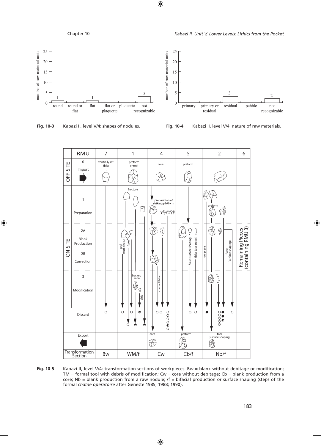$\overline{3}$ 

residual

pebble

not

recognizable

25

20

15

10

5

 $\overline{0}$ 

primary



**Fig. 10-3** Kabazi II, level V/4: shapes of nodules. **Fig. 10-4** Kabazi II, level V/4: nature of raw materials.

primary or

residual



**Fig. 10-5** Kabazi II, level V/4: transformation sections of workpieces. Bw = blank without debitage or modification; TM = formal tool with debris of modification; Cw = core without debitage; Cb = blank production from a core; Nb = blank production from a raw nodule;  $/f$  = bifacial production or surface shaping (steps of the formal *chaîne opératoire* after Geneste 1985; 1988; 1990).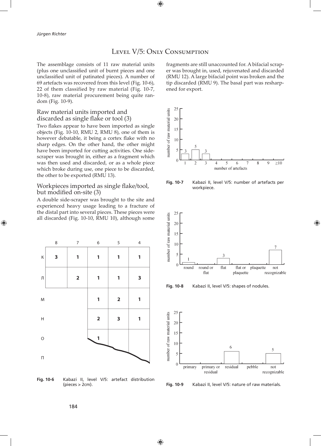# LEVEL V/5: ONLY CONSUMPTION

The assemblage consists of 11 raw material units (plus one unclassified unit of burnt pieces and one unclassified unit of patinated pieces). A number of 69 artefacts was recovered from this level (Fig. 10-6), 22 of them classified by raw material (Fig. 10-7, 10-8), raw material procurement being quite random (Fig. 10-9).

#### Raw material units imported and discarded as single flake or tool (3)

Two flakes appear to have been imported as single objects (Fig. 10-10, RMU 2, RMU 8), one of them is however debatable, it being a cortex flake with no sharp edges. On the other hand, the other might have been imported for cutting activities. One sidescraper was brought in, either as a fragment which was then used and discarded, or as a whole piece which broke during use, one piece to be discarded, the other to be exported (RMU 13).

#### Workpieces imported as single flake/tool, but modified on-site (3)

A double side-scraper was brought to the site and experienced heavy usage leading to a fracture of the distal part into several pieces. These pieces were all discarded (Fig. 10-10, RMU 10), although some



**Fig. 10-6** Kabazi II, level V/5: artefact distribution (pieces > 2cm).

fragments are still unaccounted for. A bifacial scraper was brought in, used, rejuvenated and discarded (RMU 12). A large bifacial point was broken and the tip discarded (RMU 9). The basal part was resharpened for export.



**Fig. 10-7** Kabazi II, level V/5: number of artefacts per workpiece.



**Fig. 10-8** Kabazi II, level V/5: shapes of nodules.



**Fig. 10-9** Kabazi II, level V/5: nature of raw materials.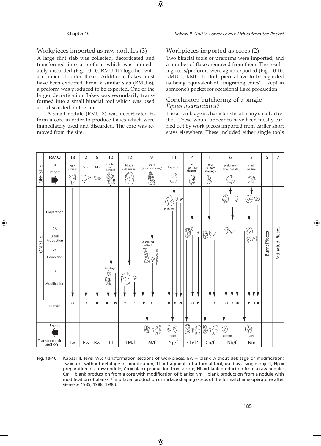# Workpieces imported as raw nodules (3)

A large flint slab was collected, decorticated and transformed into a preform which was immediately discarded (Fig. 10-10, RMU 11) together with a number of cortex flakes. Additional flakes must have been exported. From a similar slab (RMU 6), a preform was produced to be exported. One of the larger decortication flakes was secondarily transformed into a small bifacial tool which was used and discarded on the site.

A small nodule (RMU 3) was decorticated to form a core in order to produce flakes which were immediately used and discarded. The core was removed from the site.

# Workpieces imported as cores (2)

Two bifacial tools or preforms were imported, and a number of flakes removed from them. The resulting tools/preforms were again exported (Fig. 10-10, RMU 1, RMU 4). Both pieces have to be regarded as being equivalent of "migrating cores", kept in someone's pocket for occasional flake production.

## Conclusion: butchering of a single *Equus hydruntinus?*

The assemblage is characteristic of many small activities. These would appear to have been mostly carried out by work pieces imported from earlier short stays elsewhere. These included either single tools

|          | <b>RMU</b>                                                                                          | 13              | 2       | 8         | 10                          | 12                       | 9                                                                                                                                                                                                                                                                                                                                                   | 11                                  | 4                                                                                                                                                                                                                                                                                                                                                                                                                                                                                                                                                                                                                      | $\mathbf{1}$                                                                                                                                                                                                                                                                                                                                        | 6                                       | 3                     | 5                   | $\mathcal{L}_{\mathcal{L}}$ |
|----------|-----------------------------------------------------------------------------------------------------|-----------------|---------|-----------|-----------------------------|--------------------------|-----------------------------------------------------------------------------------------------------------------------------------------------------------------------------------------------------------------------------------------------------------------------------------------------------------------------------------------------------|-------------------------------------|------------------------------------------------------------------------------------------------------------------------------------------------------------------------------------------------------------------------------------------------------------------------------------------------------------------------------------------------------------------------------------------------------------------------------------------------------------------------------------------------------------------------------------------------------------------------------------------------------------------------|-----------------------------------------------------------------------------------------------------------------------------------------------------------------------------------------------------------------------------------------------------------------------------------------------------------------------------------------------------|-----------------------------------------|-----------------------|---------------------|-----------------------------|
|          | $\mathbf 0$<br>Import                                                                               | side<br>scraper | flake   | flake     | double<br>side<br>scraper   | bifacial<br>side scraper | point<br>(surface shaping)                                                                                                                                                                                                                                                                                                                          | plaquette                           | tool<br>(surface<br>shaping)?                                                                                                                                                                                                                                                                                                                                                                                                                                                                                                                                                                                          | tool<br>(surface<br>shaping)?                                                                                                                                                                                                                                                                                                                       | preform or<br>small nodule              | small<br>nodule       |                     |                             |
| OFF-SITE |                                                                                                     | 0               |         | پ         | 81<br>$\bullet$             |                          | R                                                                                                                                                                                                                                                                                                                                                   |                                     | H                                                                                                                                                                                                                                                                                                                                                                                                                                                                                                                                                                                                                      | ₿                                                                                                                                                                                                                                                                                                                                                   |                                         |                       |                     |                             |
| ON-SITE  | $\overline{1}$<br>Preparation<br>2A<br>Blank<br>Production<br>2B<br>Correction<br>3<br>Modification |                 |         |           | breakage<br>$\otimes$<br>88 | Ò                        | distal end<br>of tool<br>$\cdot \bigotimes$<br>  resharpening<br>AN<br>N                                                                                                                                                                                                                                                                            | $\Phi$<br>preform                   | $\mathbb{G}$ .<br>$\dot{\mathcal{\Delta}}$                                                                                                                                                                                                                                                                                                                                                                                                                                                                                                                                                                             | 800                                                                                                                                                                                                                                                                                                                                                 | Q<br>$\heartsuit$<br>Ģ<br>$\varnothing$ | ⊛ପ୍ର                  | <b>Burnt Pieces</b> | Patinated Pieces            |
|          | Discard                                                                                             | $\circ$         | $\circ$ | $\bullet$ | ٠<br>۰                      | $\circ$<br>$\circ$       | $\circ$<br>$\bullet$                                                                                                                                                                                                                                                                                                                                | $\bullet$<br>$\bullet$<br>$\bullet$ | $\circ$ $\bullet$                                                                                                                                                                                                                                                                                                                                                                                                                                                                                                                                                                                                      | $\circ$ $\circ$                                                                                                                                                                                                                                                                                                                                     | $O$ $O$<br>$\bullet$                    | $\bullet$ 0 $\bullet$ |                     |                             |
|          | Export                                                                                              |                 |         |           |                             |                          | $\begin{picture}(130,10) \put(0,0){\line(1,0){15}} \put(15,0){\line(1,0){15}} \put(15,0){\line(1,0){15}} \put(15,0){\line(1,0){15}} \put(15,0){\line(1,0){15}} \put(15,0){\line(1,0){15}} \put(15,0){\line(1,0){15}} \put(15,0){\line(1,0){15}} \put(15,0){\line(1,0){15}} \put(15,0){\line(1,0){15}} \put(15,0){\line(1,0){15}} \put(15,0){\line($ | Ø<br>Ø.<br>flakes                   | $\fbox{2pt} \centering \begin{tabular}{ c c } \hline \quad \quad & \quad \quad & \quad \quad \\ \hline \quad \quad & \quad \quad & \quad \quad \\ \hline \quad \quad & \quad \quad & \quad \quad \\ \hline \quad \quad & \quad \quad & \quad \quad \\ \hline \quad \quad & \quad \quad & \quad \quad \\ \hline \quad \quad & \quad \quad & \quad \quad \\ \hline \quad \quad & \quad \quad & \quad \quad \\ \hline \quad \quad & \quad \quad & \quad \quad \\ \hline \quad \quad & \quad \quad & \quad \quad \\ \hline \quad \quad & \quad \quad & \quad \quad \\ \hline \quad \quad & \quad \quad & \quad \quad \\ \$ | $\begin{picture}(120,110) \put(0,0){\line(1,0){15}} \put(15,0){\line(1,0){15}} \put(15,0){\line(1,0){15}} \put(15,0){\line(1,0){15}} \put(15,0){\line(1,0){15}} \put(15,0){\line(1,0){15}} \put(15,0){\line(1,0){15}} \put(15,0){\line(1,0){15}} \put(15,0){\line(1,0){15}} \put(15,0){\line(1,0){15}} \put(15,0){\line(1,0){15}} \put(15,0){\line$ | $\otimes$<br>preform                    | Core                  |                     |                             |
|          | Transformation<br>Section                                                                           | Tw              | Bw      | Bw        | ΤT                          | TM/f                     | TM/f                                                                                                                                                                                                                                                                                                                                                | Np/f                                | Cb/f?                                                                                                                                                                                                                                                                                                                                                                                                                                                                                                                                                                                                                  | Cb/f                                                                                                                                                                                                                                                                                                                                                | Nb/f                                    | Nm                    |                     |                             |

**Fig. 10-10** Kabazi II, level V/5: transformation sections of workpieces. Bw = blank without debitage or modification; Tw = tool without debitage or modification;  $TT$  = fragments of a formal tool, used as a single object; Np = preparation of a raw nodule; Cb = blank production from a core; Nb = blank production from a raw nodule; Cm = blank production from a core with modification of blanks; Nm = blank production from a nodule with modification of blanks; /f = bifacial production or surface shaping (steps of the formal chaîne opératoire after Geneste 1985; 1988; 1990).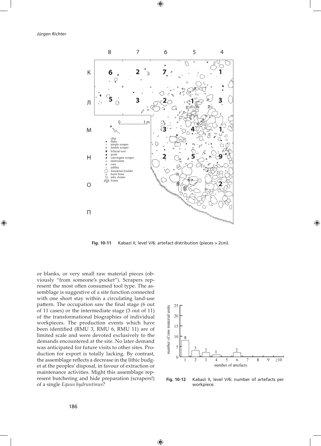

**Fig. 10-11** Kabazi II, level V/6: artefact distribution (pieces > 2cm).

or blanks, or very small raw material pieces (obviously "from someone's pocket"). Scrapers represent the most often consumed tool type. The assemblage is suggestive of a site function connected with one short stay within a circulating land-use pattern. The occupation saw the final stage (6 out of 11 cases) or the intermediate stage (3 out of 11) of the transformational biographies of individual workpieces. The production events which have been identified (RMU 3, RMU 6, RMU 11) are of limited scale and were devoted exclusively to the demands encountered at the site. No later demand was anticipated for future visits to other sites. Production for export is totally lacking. By contrast, the assemblage reflects a decrease in the lithic budget at the peoples' disposal, in favour of extraction or maintenance activities. Might this assemblage represent butchering and hide preparation (scrapers!) of a single *Equus hydruntinus*?



**Fig. 10-12** Kabazi II, level V/6: number of artefacts per workpiece.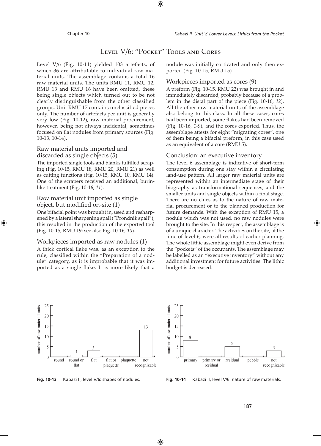# LEVEL V/6: "POCKET" TOOLS AND CORES

Level V/6 (Fig. 10-11) yielded 103 artefacts, of which 36 are attributable to individual raw material units. The assemblage contains a total 16 raw material units. The units RMU 11, RMU 12, RMU 13 and RMU 16 have been omitted, these being single objects which turned out to be not clearly distinguishable from the other classified groups. Unit RMU 17 contains unclassified pieces only. The number of artefacts per unit is generally very low (Fig. 10-12), raw material procurement, however, being not always incidental, sometimes focused on flat nodules from primary sources (Fig. 10-13, 10-14).

## Raw material units imported and discarded as single objects (5)

The imported single tools and blanks fulfilled scraping (Fig. 10-15, RMU 18, RMU 20, RMU 21) as well as cutting functions (Fig. 10-15, RMU 10, RMU 14). One of the scrapers received an additional, burinlike treatment (Fig. 10-16, *11*).

# Raw material unit imported as single object, but modified on-site (1)

One bifacial point was brought in, used and resharpened by a lateral sharpening spall ("Prondnik spall"), this resulted in the production of the exported tool (Fig. 10-15, RMU 19; see also Fig. 10-16, *10*).

# Workpieces imported as raw nodules (1)

A thick cortical flake was, as an exception to the rule, classified within the "Preparation of a nodule" category, as it is improbable that it was imported as a single flake. It is more likely that a nodule was initially corticated and only then exported (Fig. 10-15, RMU 15).

# Workpieces imported as cores (9)

A preform (Fig. 10-15, RMU 22) was brought in and immediately discarded, probably because of a problem in the distal part of the piece (Fig. 10-16, *12*). All the other raw material units of the assemblage also belong to this class. In all these cases, cores had been imported, some flakes had been removed (Fig. 10-16, *1-9*), and the cores exported. Thus, the assemblage attests for eight "migrating cores", one of them being a bifacial preform, in this case used as an equivalent of a core (RMU 5).

# Conclusion: an executive inventory

The level 6 assemblage is indicative of short-term consumption during one stay within a circulating land-use pattern. All larger raw material units are represented within an intermediate stage of their biography as transformational sequences, and the smaller units and single objects within a final stage. There are no clues as to the nature of raw material procurement or to the planned production for future demands. With the exception of RMU 15, a nodule which was not used, no raw nodules were brought to the site. In this respect, the assemblage is of a unique character. The activities on the site, at the time of level 6, were all results of earlier planning. The whole lithic assemblage might even derive from the "pockets" of the occupants. The assemblage may be labelled as an "executive inventory" without any additional investment for future activities. The lithic budget is decreased.





**Fig. 10-13** Kabazi II, level V/6: shapes of nodules. **Fig. 10-14** Kabazi II, level V/6: nature of raw materials.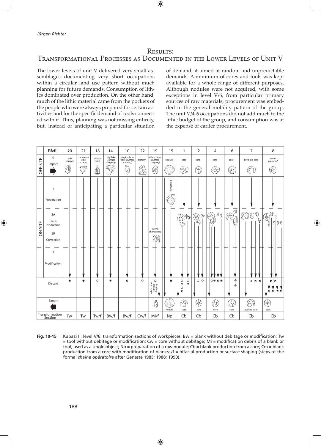# **RESULTS:** TRANSFORMATIONAL PROCESSES AS DOCUMENTED IN THE LOWER LEVELS OF UNIT V

The lower levels of unit V delivered very small assemblages documenting very short occupations within a circular land use pattern without much planning for future demands. Consumption of lithics dominated over production. On the other hand, much of the lithic material came from the pockets of the people who were always prepared for certain activities and for the specific demand of tools connected with it. Thus, planning was not missing entirely, but, instead of anticipating a particular situation of demand, it aimed at random and unpredictable demands. A minimum of cores and tools was kept available for a whole range of different purposes. Although nodules were not acquired, with some exceptions in level V/6, from particular primary sources of raw materials, procurement was embedded in the general mobility pattern of the group. The unit V/4-6 occupations did not add much to the lithic budget of the group, and consumption was at the expense of earlier procurement.



Fig. 10-15 Kabazi II, level V/6: transformation sections of workpieces. Bw = blank without debitage or modification; Tw = tool without debitage or modification; Cw = core without debitage; Mi = modification debris of a blank or tool, used as a single object; Np = preparation of a raw nodule; Cb = blank production from a core; Cm = blank production from a core with modification of blanks; /f = bifacial production or surface shaping (steps of the formal chaîne opératoire after Geneste 1985; 1988; 1990).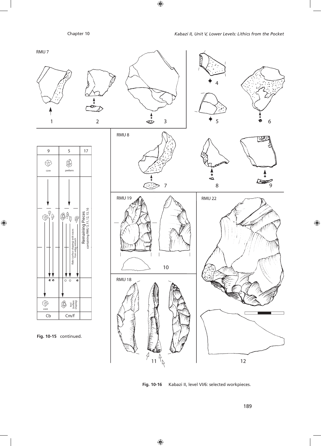

**Fig. 10-16** Kabazi II, level VI/6: selected workpieces.